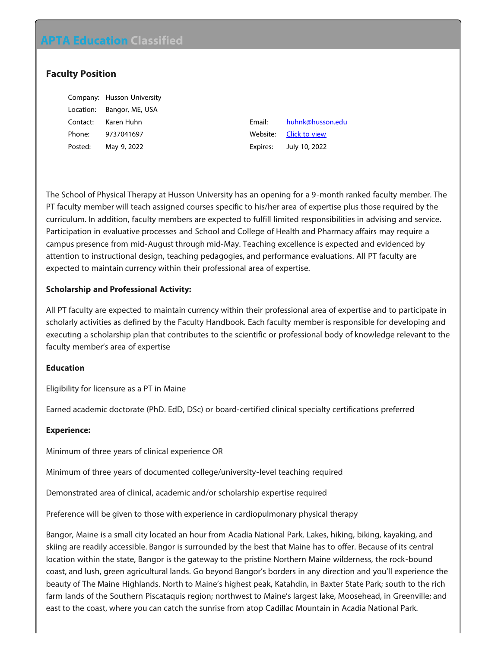# **APTA Education Classified**

# **Faculty Position**

|           | Company: Husson University |
|-----------|----------------------------|
| Location: | Bangor, ME, USA            |
| Contact:  | Karen Huhn                 |
| Phone:    | 9737041697                 |
| Posted:   | May 9, 2022                |

Email: [huhnk@husson.edu](mailto:huhnk@husson.edu?subject=Response to Classified on APTA Education website) Website: **[Click to view](https://aptaeducation.org?51m5nj/)** Expires: July 10, 2022

The School of Physical Therapy at Husson University has an opening for a 9-month ranked faculty member. The PT faculty member will teach assigned courses specific to his/her area of expertise plus those required by the curriculum. In addition, faculty members are expected to fulfill limited responsibilities in advising and service. Participation in evaluative processes and School and College of Health and Pharmacy affairs may require a campus presence from mid-August through mid-May. Teaching excellence is expected and evidenced by attention to instructional design, teaching pedagogies, and performance evaluations. All PT faculty are expected to maintain currency within their professional area of expertise.

## **Scholarship and Professional Activity:**

All PT faculty are expected to maintain currency within their professional area of expertise and to participate in scholarly activities as defined by the Faculty Handbook. Each faculty member is responsible for developing and executing a scholarship plan that contributes to the scientific or professional body of knowledge relevant to the faculty member's area of expertise

## **Education**

Eligibility for licensure as a PT in Maine

Earned academic doctorate (PhD. EdD, DSc) or board-certified clinical specialty certifications preferred

## **Experience:**

Minimum of three years of clinical experience OR

Minimum of three years of documented college/university-level teaching required

Demonstrated area of clinical, academic and/or scholarship expertise required

Preference will be given to those with experience in cardiopulmonary physical therapy

Bangor, Maine is a small city located an hour from Acadia National Park. Lakes, hiking, biking, kayaking, and skiing are readily accessible. Bangor is surrounded by the best that Maine has to offer. Because of its central location within the state, Bangor is the gateway to the pristine Northern Maine wilderness, the rock-bound coast, and lush, green agricultural lands. Go beyond Bangor's borders in any direction and you'll experience the beauty of The Maine Highlands. North to Maine's highest peak, Katahdin, in Baxter State Park; south to the rich farm lands of the Southern Piscataquis region; northwest to Maine's largest lake, Moosehead, in Greenville; and east to the coast, where you can catch the sunrise from atop Cadillac Mountain in Acadia National Park.